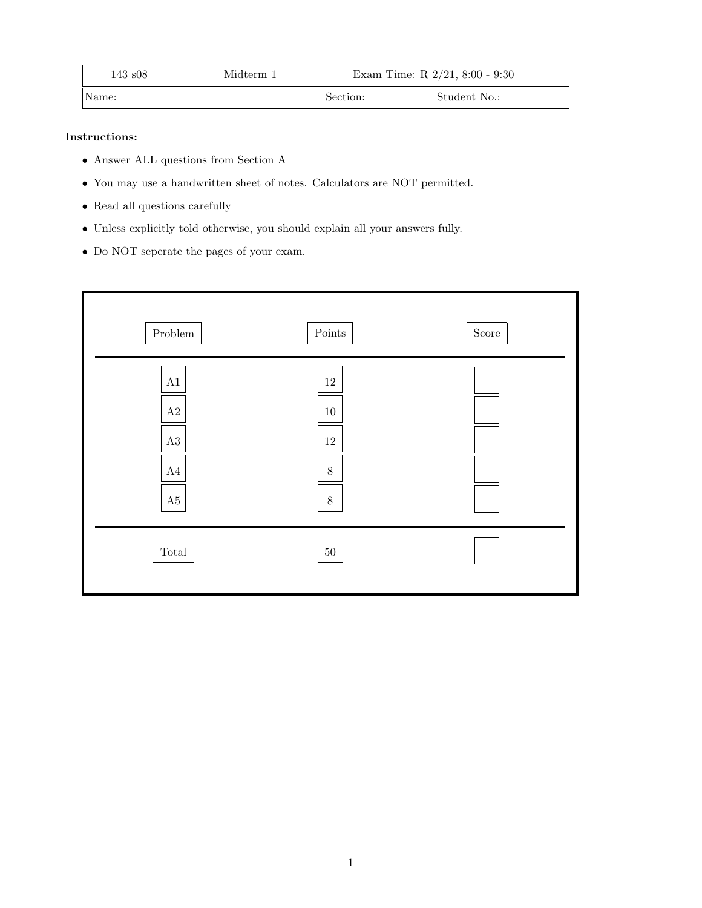| $143 \text{ s}08$ | Midterm 1 | Exam Time: R $2/21$ , 8:00 - 9:30 |              |
|-------------------|-----------|-----------------------------------|--------------|
| Name:             |           | Section:                          | Student No.: |

# Instructions:

- Answer ALL questions from Section A
- You may use a handwritten sheet of notes. Calculators are NOT permitted.
- $\bullet\,$  Read all questions carefully
- Unless explicitly told otherwise, you should explain all your answers fully.
- Do NOT seperate the pages of your exam.

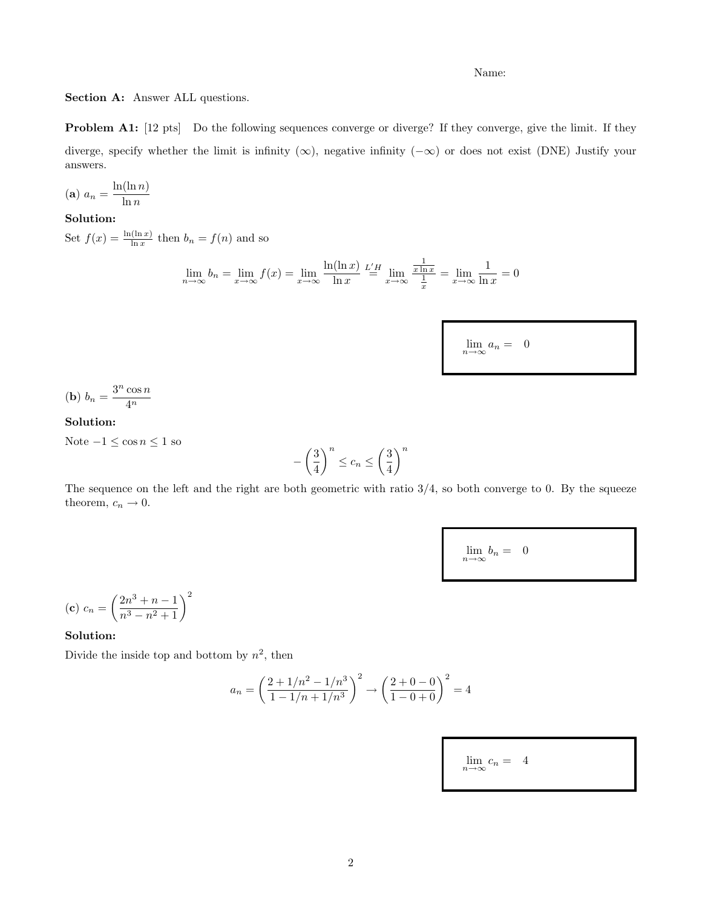Section A: Answer ALL questions.

Problem A1: [12 pts] Do the following sequences converge or diverge? If they converge, give the limit. If they diverge, specify whether the limit is infinity  $(\infty)$ , negative infinity  $(-\infty)$  or does not exist (DNE) Justify your answers.

$$
(a) \ a_n = \frac{\ln(\ln n)}{\ln n}
$$

# Solution:

Set  $f(x) = \frac{\ln(\ln x)}{\ln x}$  then  $b_n = f(n)$  and so

$$
\lim_{n \to \infty} b_n = \lim_{x \to \infty} f(x) = \lim_{x \to \infty} \frac{\ln(\ln x)}{\ln x} \stackrel{L'H}{=} \lim_{x \to \infty} \frac{\frac{1}{x \ln x}}{\frac{1}{x}} = \lim_{x \to \infty} \frac{1}{\ln x} = 0
$$

 $\lim_{n\to\infty}a_n = 0$ 

$$
(b) b_n = \frac{3^n \cos n}{4^n}
$$

## Solution:

Note $-1\leq \cos n \leq 1$ so

$$
-\left(\frac{3}{4}\right)^n \le c_n \le \left(\frac{3}{4}\right)^n
$$

The sequence on the left and the right are both geometric with ratio  $3/4$ , so both converge to 0. By the squeeze theorem,  $c_n \to 0$ .

 $\lim_{n\to\infty}b_n = 0$ 

(c) 
$$
c_n = \left(\frac{2n^3 + n - 1}{n^3 - n^2 + 1}\right)^2
$$

### Solution:

Divide the inside top and bottom by  $n^2$ , then

$$
a_n = \left(\frac{2+1/n^2 - 1/n^3}{1-1/n + 1/n^3}\right)^2 \to \left(\frac{2+0-0}{1-0+0}\right)^2 = 4
$$

 $\lim_{n\to\infty}c_n = 4$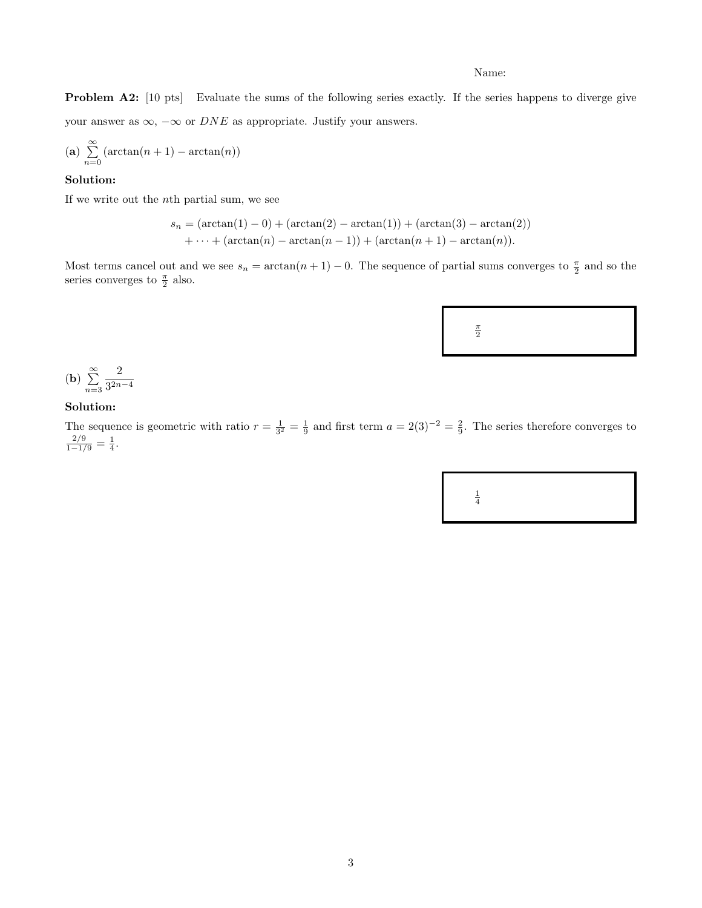Problem A2: [10 pts] Evaluate the sums of the following series exactly. If the series happens to diverge give your answer as  $\infty$ ,  $-\infty$  or *DNE* as appropriate. Justify your answers.

(a) 
$$
\sum_{n=0}^{\infty}
$$
 (arctan $(n + 1)$  – arctan $(n)$ )

## Solution:

If we write out the nth partial sum, we see

$$
s_n = (\arctan(1) - 0) + (\arctan(2) - \arctan(1)) + (\arctan(3) - \arctan(2))
$$
  
+ ... + (\arctan(n) - \arctan(n - 1)) + (\arctan(n + 1) - \arctan(n)).

Most terms cancel out and we see  $s_n = \arctan(n+1) - 0$ . The sequence of partial sums converges to  $\frac{\pi}{2}$  and so the series converges to  $\frac{\pi}{2}$  also.



**(b)** 
$$
\sum_{n=3}^{\infty} \frac{2}{3^{2n-4}}
$$

### Solution:

The sequence is geometric with ratio  $r = \frac{1}{3^2} = \frac{1}{9}$  and first term  $a = 2(3)^{-2} = \frac{2}{9}$ . The series therefore converges to  $\frac{2/9}{1-1/9} = \frac{1}{4}.$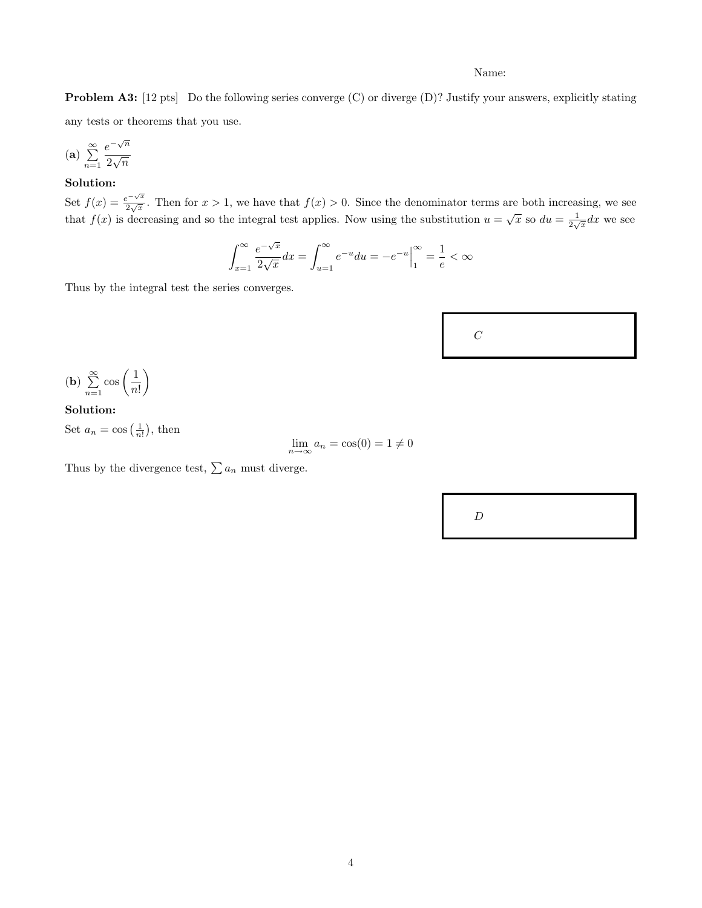Problem A3: [12 pts] Do the following series converge (C) or diverge (D)? Justify your answers, explicitly stating any tests or theorems that you use.

$$
(a) \sum_{n=1}^{\infty} \frac{e^{-\sqrt{n}}}{2\sqrt{n}}
$$

# Solution:

Set  $f(x) = \frac{e^{-\sqrt{x}}}{2\sqrt{x}}$  $\frac{e^{-\sqrt{x}}}{2\sqrt{x}}$ . Then for  $x > 1$ , we have that  $f(x) > 0$ . Since the denominator terms are both increasing, we see that  $f(x)$  is decreasing and so the integral test applies. Now using the substitution  $u = \sqrt{x}$  so  $du = \frac{1}{2\sqrt{x}}dx$  we see

$$
\int_{x=1}^{\infty} \frac{e^{-\sqrt{x}}}{2\sqrt{x}} dx = \int_{u=1}^{\infty} e^{-u} du = -e^{-u} \Big|_{1}^{\infty} = \frac{1}{e} < \infty
$$

Thus by the integral test the series converges.



$$
\textbf{(b)}\ \sum_{n=1}^{\infty}\cos\left(\frac{1}{n!}\right)
$$

# Solution:

Set  $a_n = \cos\left(\frac{1}{n!}\right)$ , then

$$
\lim_{n \to \infty} a_n = \cos(0) = 1 \neq 0
$$

Thus by the divergence test,  $\sum a_n$  must diverge.

 $\boldsymbol{D}$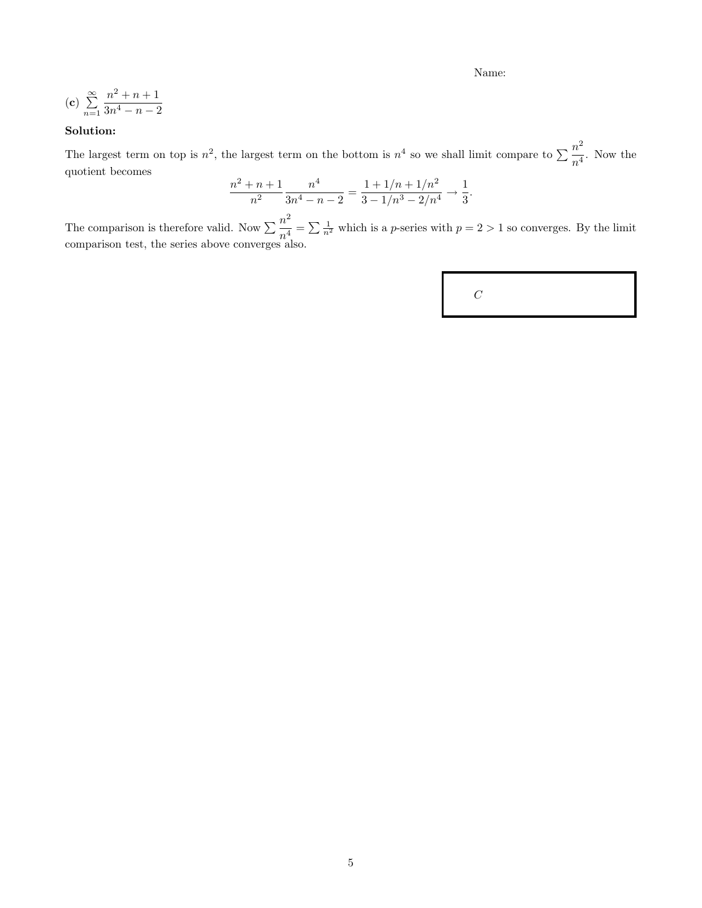(c) 
$$
\sum_{n=1}^{\infty} \frac{n^2 + n + 1}{3n^4 - n - 2}
$$

# Solution:

The largest term on top is  $n^2$ , the largest term on the bottom is  $n^4$  so we shall limit compare to  $\sum_{i=1}^{n^2}$  $\frac{n}{n^4}$ . Now the quotient becomes

$$
\frac{n^2 + n + 1}{n^2} \frac{n^4}{3n^4 - n - 2} = \frac{1 + 1/n + 1/n^2}{3 - 1/n^3 - 2/n^4} \to \frac{1}{3}.
$$

The comparison is therefore valid. Now  $\sum_{A} \frac{n^2}{4}$  $\frac{n}{n^4} = \sum \frac{1}{n^2}$  which is a *p*-series with  $p = 2 > 1$  so converges. By the limit comparison test, the series above converges also.

|--|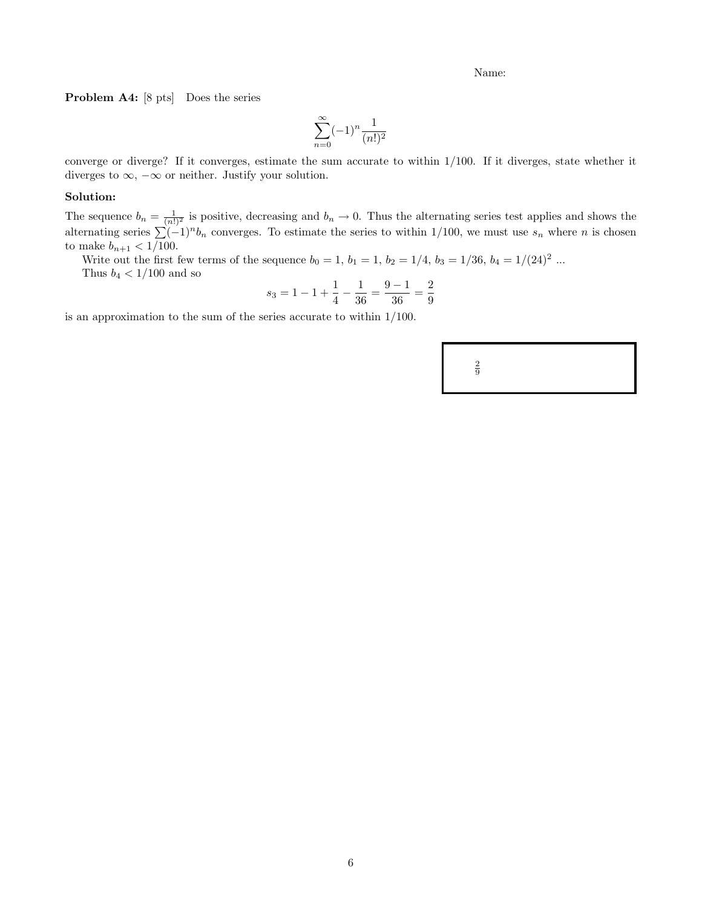Problem A4: [8 pts] Does the series

$$
\sum_{n=0}^{\infty} (-1)^n \frac{1}{(n!)^2}
$$

converge or diverge? If it converges, estimate the sum accurate to within 1/100. If it diverges, state whether it diverges to  $\infty$ ,  $-\infty$  or neither. Justify your solution.

#### Solution:

The sequence  $b_n = \frac{1}{(n!)^2}$  is positive, decreasing and  $b_n \to 0$ . Thus the alternating series test applies and shows the alternating series  $\sum (-1)^n b_n$  converges. To estimate the series to within 1/100, we must use  $s_n$  where n is chosen to make  $b_{n+1} < 1/100$ .

Write out the first few terms of the sequence  $b_0 = 1, b_1 = 1, b_2 = 1/4, b_3 = 1/36, b_4 = 1/(24)^2$  ... Thus  $b_4 < 1/100$  and so

$$
s_3 = 1 - 1 + \frac{1}{4} - \frac{1}{36} = \frac{9 - 1}{36} = \frac{2}{9}
$$

is an approximation to the sum of the series accurate to within 1/100.

 $\frac{2}{9}$